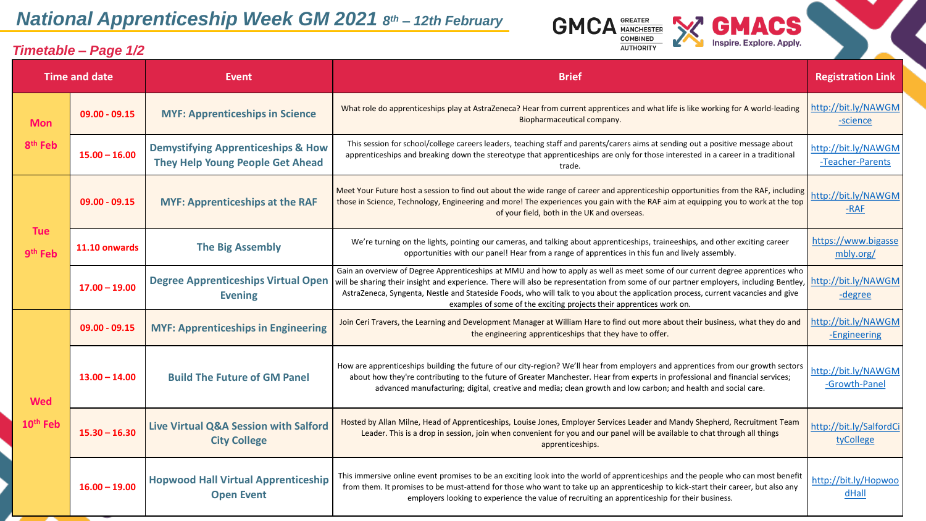## *National Apprenticeship Week GM 2021 8 th – 12th February*

*Timetable – Page 1/2*



**GMCA GREATER WAY** 

**COMBINED UTHORITY**  **GMACS**